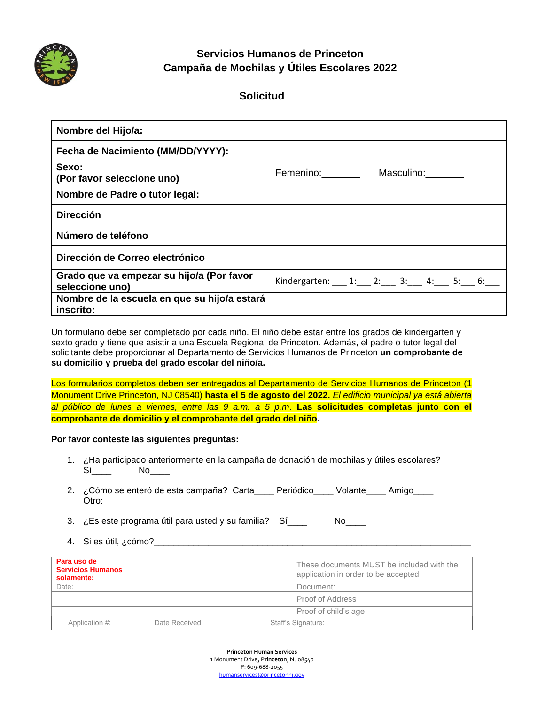

# **Servicios Humanos de Princeton Campaña de Mochilas y Útiles Escolares 2022**

# **Solicitud**

| Nombre del Hijo/a:                                           |                                           |
|--------------------------------------------------------------|-------------------------------------------|
| Fecha de Nacimiento (MM/DD/YYYY):                            |                                           |
| Sexo:<br>(Por favor seleccione uno)                          | Femenino: _______<br>Masculino: Masculino |
| Nombre de Padre o tutor legal:                               |                                           |
| <b>Dirección</b>                                             |                                           |
| Número de teléfono                                           |                                           |
| Dirección de Correo electrónico                              |                                           |
| Grado que va empezar su hijo/a (Por favor<br>seleccione uno) | Kindergarten: 1: 2: 3: 4: 5: 6:           |
| Nombre de la escuela en que su hijo/a estará<br>inscrito:    |                                           |

Un formulario debe ser completado por cada niño. El niño debe estar entre los grados de kindergarten y sexto grado y tiene que asistir a una Escuela Regional de Princeton. Además, el padre o tutor legal del solicitante debe proporcionar al Departamento de Servicios Humanos de Princeton **un comprobante de su domicilio y prueba del grado escolar del niño/a.**

Los formularios completos deben ser entregados al Departamento de Servicios Humanos de Princeton (1 Monument Drive Princeton, NJ 08540) **hasta el 5 de agosto del 2022.** *El edificio municipal ya está abierta al público de lunes a viernes, entre las 9 a.m. a 5 p.m*. **Las solicitudes completas junto con el comprobante de domicilio y el comprobante del grado del niño.**

#### **Por favor conteste las siguientes preguntas:**

- 1. ¿Ha participado anteriormente en la campaña de donación de mochilas y útiles escolares?  $Si$  No $\Box$
- 2. *i* Cómo se enteró de esta campaña? Carta Periódico Volante Amigo Otro: \_\_\_\_\_\_\_\_\_\_\_\_\_\_\_\_\_\_\_\_\_\_

3.  $\bar{c}$  Es este programa útil para usted y su familia?  $Si$  \_\_\_ No\_\_\_

4. Si es útil, ¿cómo?\_\_\_\_\_\_\_\_\_\_\_\_\_\_\_\_\_\_\_\_\_\_\_\_\_\_\_\_\_\_\_\_\_\_\_\_\_\_\_\_\_\_\_\_\_\_\_\_\_\_\_\_\_\_\_\_\_\_\_\_\_\_\_\_

| Para uso de<br><b>Servicios Humanos</b><br>solamente: |                | These documents MUST be included with the<br>application in order to be accepted. |
|-------------------------------------------------------|----------------|-----------------------------------------------------------------------------------|
| Date:                                                 |                | Document:                                                                         |
|                                                       |                | Proof of Address                                                                  |
|                                                       |                | Proof of child's age                                                              |
| Application #:                                        | Date Received: | Staff's Signature:                                                                |